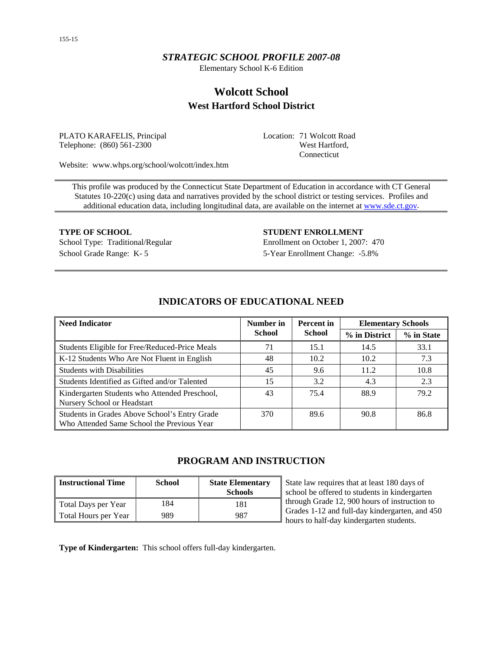# *STRATEGIC SCHOOL PROFILE 2007-08*

Elementary School K-6 Edition

# **Wolcott School West Hartford School District**

PLATO KARAFELIS, Principal Telephone: (860) 561-2300

Location: 71 Wolcott Road West Hartford, Connecticut

Website: www.whps.org/school/wolcott/index.htm

This profile was produced by the Connecticut State Department of Education in accordance with CT General Statutes 10-220(c) using data and narratives provided by the school district or testing services. Profiles and additional education data, including longitudinal data, are available on the internet at [www.sde.ct.gov.](http://www.sde.ct.gov/)

School Grade Range: K- 5 5-Year Enrollment Change: -5.8%

**TYPE OF SCHOOL STUDENT ENROLLMENT** School Type: Traditional/Regular Enrollment on October 1, 2007: 470

| <b>Need Indicator</b>                                                                       | Number in     | <b>Percent</b> in | <b>Elementary Schools</b> |            |  |
|---------------------------------------------------------------------------------------------|---------------|-------------------|---------------------------|------------|--|
|                                                                                             | <b>School</b> | <b>School</b>     | % in District             | % in State |  |
| Students Eligible for Free/Reduced-Price Meals                                              | 71            | 15.1              | 14.5                      | 33.1       |  |
| K-12 Students Who Are Not Fluent in English                                                 | 48            | 10.2              | 10.2                      | 7.3        |  |
| <b>Students with Disabilities</b>                                                           | 45            | 9.6               | 11.2                      | 10.8       |  |
| Students Identified as Gifted and/or Talented                                               | 15            | 3.2               | 4.3                       | 2.3        |  |
| Kindergarten Students who Attended Preschool,<br>Nursery School or Headstart                | 43            | 75.4              | 88.9                      | 79.2       |  |
| Students in Grades Above School's Entry Grade<br>Who Attended Same School the Previous Year | 370           | 89.6              | 90.8                      | 86.8       |  |

# **INDICATORS OF EDUCATIONAL NEED**

# **PROGRAM AND INSTRUCTION**

| <b>Instructional Time</b> | <b>School</b> | <b>State Elementary</b><br><b>Schools</b> |
|---------------------------|---------------|-------------------------------------------|
| Total Days per Year       | 184           | 181                                       |
| Total Hours per Year      | 989           | 987                                       |

State law requires that at least 180 days of school be offered to students in kindergarten through Grade 12, 900 hours of instruction to Grades 1-12 and full-day kindergarten, and 450 hours to half-day kindergarten students.

**Type of Kindergarten:** This school offers full-day kindergarten.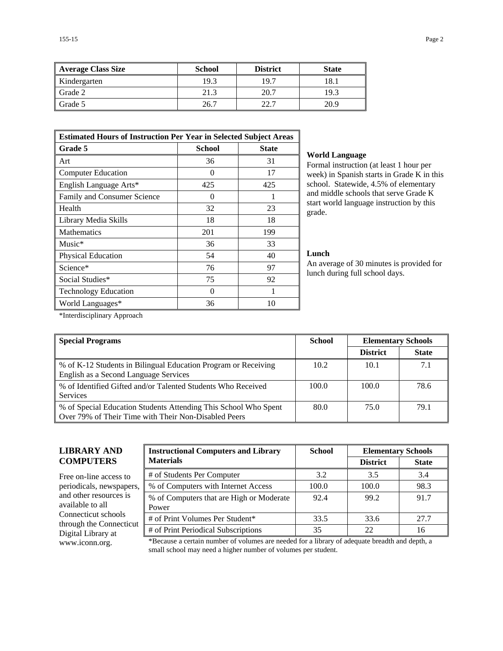| <b>Average Class Size</b> | <b>School</b> | <b>District</b> | <b>State</b> |
|---------------------------|---------------|-----------------|--------------|
| Kindergarten              | 19.3          | 19.7            | 18.1         |
| Grade 2                   | 21.3          | 20.7            | 19.3         |
| Grade 5                   | 26.7          | 22.7            | 20.9         |

| <b>Estimated Hours of Instruction Per Year in Selected Subject Areas</b> |                   |              |  |  |  |
|--------------------------------------------------------------------------|-------------------|--------------|--|--|--|
| Grade 5                                                                  | <b>School</b>     | <b>State</b> |  |  |  |
| Art                                                                      | 36                | 31           |  |  |  |
| <b>Computer Education</b>                                                | $\mathbf{\Omega}$ | 17           |  |  |  |
| English Language Arts*                                                   | 425               | 425          |  |  |  |
| Family and Consumer Science                                              | $\theta$          |              |  |  |  |
| Health                                                                   | 32                | 23           |  |  |  |
| Library Media Skills                                                     | 18                | 18           |  |  |  |
| <b>Mathematics</b>                                                       | 201               | 199          |  |  |  |
| $Music*$                                                                 | 36                | 33           |  |  |  |
| Physical Education                                                       | 54                | 40           |  |  |  |
| Science*                                                                 | 76                | 97           |  |  |  |
| Social Studies*                                                          | 75                | 92           |  |  |  |
| <b>Technology Education</b>                                              | 0                 |              |  |  |  |
| World Languages*                                                         | 36                | 10           |  |  |  |

#### **World Language**

Formal instruction (at least 1 hour per week) in Spanish starts in Grade K in this school. Statewide, 4.5% of elementary and middle schools that serve Grade K start world language instruction by this grade.

#### **Lunch**

An average of 30 minutes is provided for lunch during full school days.

\*Interdisciplinary Approach

| <b>Special Programs</b>                                                                                                 | <b>School</b> | <b>Elementary Schools</b> |              |
|-------------------------------------------------------------------------------------------------------------------------|---------------|---------------------------|--------------|
|                                                                                                                         |               | <b>District</b>           | <b>State</b> |
| % of K-12 Students in Bilingual Education Program or Receiving<br>English as a Second Language Services                 | 10.2          | 10.1                      | 7.1          |
| % of Identified Gifted and/or Talented Students Who Received<br><b>Services</b>                                         | 100.0         | 100.0                     | 78.6         |
| % of Special Education Students Attending This School Who Spent<br>Over 79% of Their Time with Their Non-Disabled Peers | 80.0          | 75.0                      | 79.1         |

# **LIBRARY AND COMPUTERS**

Free on-line access to periodicals, newspapers, and other resources is available to all Connecticut schools through the Connecticut Digital Library at

| <b>Instructional Computers and Library</b>        | <b>School</b> |                 | <b>Elementary Schools</b> |  |  |
|---------------------------------------------------|---------------|-----------------|---------------------------|--|--|
| <b>Materials</b>                                  |               | <b>District</b> | <b>State</b>              |  |  |
| # of Students Per Computer                        | 3.2           | 3.5             | 3.4                       |  |  |
| % of Computers with Internet Access               | 100.0         | 100.0           | 98.3                      |  |  |
| % of Computers that are High or Moderate<br>Power | 92.4          | 99.2            | 91.7                      |  |  |
| # of Print Volumes Per Student*                   | 33.5          | 33.6            | 27.7                      |  |  |
| # of Print Periodical Subscriptions               | 35            | 22              | 16                        |  |  |

www.iconn.org. \*Because a certain number of volumes are needed for a library of adequate breadth and depth, a small school may need a higher number of volumes per student.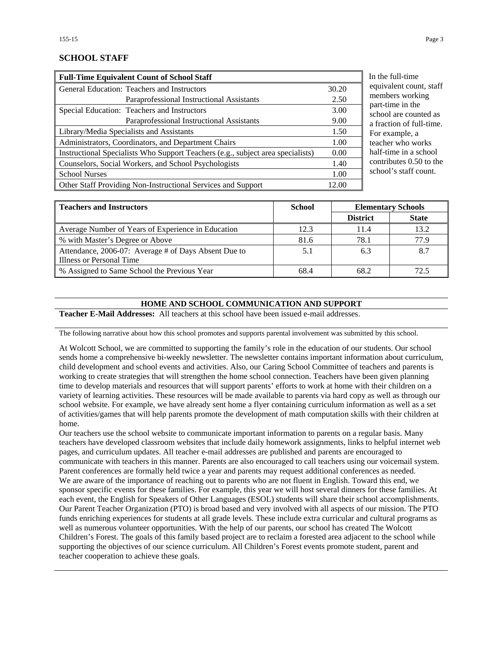### **SCHOOL STAFF**

| <b>Full-Time Equivalent Count of School Staff</b>                               |       |
|---------------------------------------------------------------------------------|-------|
| General Education: Teachers and Instructors                                     | 30.20 |
| Paraprofessional Instructional Assistants                                       | 2.50  |
| Special Education: Teachers and Instructors                                     | 3.00  |
| Paraprofessional Instructional Assistants                                       | 9.00  |
| Library/Media Specialists and Assistants                                        | 1.50  |
| Administrators, Coordinators, and Department Chairs                             | 1.00  |
| Instructional Specialists Who Support Teachers (e.g., subject area specialists) | 0.00  |
| Counselors, Social Workers, and School Psychologists                            | 1.40  |
| <b>School Nurses</b>                                                            | 1.00  |
| Other Staff Providing Non-Instructional Services and Support                    | 12.00 |

the full-time uivalent count, staff members working t-time in the ool are counted as action of full-time. r example, a cher who works f-time in a school ntributes  $0.50$  to the ool's staff count.

| <b>Teachers and Instructors</b>                      | <b>School</b> | <b>Elementary Schools</b> |              |
|------------------------------------------------------|---------------|---------------------------|--------------|
|                                                      |               | <b>District</b>           | <b>State</b> |
| Average Number of Years of Experience in Education   | 12.3          | 11.4                      | 13.2         |
| % with Master's Degree or Above                      | 81.6          | 78.1                      | 77.9         |
| Attendance, 2006-07: Average # of Days Absent Due to | 5.1           | 6.3                       | 8.7          |
| Illness or Personal Time                             |               |                           |              |
| % Assigned to Same School the Previous Year          | 68.4          | 68.2                      | 72.5         |

#### **HOME AND SCHOOL COMMUNICATION AND SUPPORT**

**Teacher E-Mail Addresses:** All teachers at this school have been issued e-mail addresses.

The following narrative about how this school promotes and supports parental involvement was submitted by this school.

At Wolcott School, we are committed to supporting the family's role in the education of our students. Our school sends home a comprehensive bi-weekly newsletter. The newsletter contains important information about curriculum, child development and school events and activities. Also, our Caring School Committee of teachers and parents is working to create strategies that will strengthen the home school connection. Teachers have been given planning time to develop materials and resources that will support parents' efforts to work at home with their children on a variety of learning activities. These resources will be made available to parents via hard copy as well as through our school website. For example, we have already sent home a flyer containing curriculum information as well as a set of activities/games that will help parents promote the development of math computation skills with their children at home.

Our teachers use the school website to communicate important information to parents on a regular basis. Many teachers have developed classroom websites that include daily homework assignments, links to helpful internet web pages, and curriculum updates. All teacher e-mail addresses are published and parents are encouraged to communicate with teachers in this manner. Parents are also encouraged to call teachers using our voicemail system. Parent conferences are formally held twice a year and parents may request additional conferences as needed. We are aware of the importance of reaching out to parents who are not fluent in English. Toward this end, we sponsor specific events for these families. For example, this year we will host several dinners for these families. At each event, the English for Speakers of Other Languages (ESOL) students will share their school accomplishments. Our Parent Teacher Organization (PTO) is broad based and very involved with all aspects of our mission. The PTO funds enriching experiences for students at all grade levels. These include extra curricular and cultural programs as well as numerous volunteer opportunities. With the help of our parents, our school has created The Wolcott Children's Forest. The goals of this family based project are to reclaim a forested area adjacent to the school while supporting the objectives of our science curriculum. All Children's Forest events promote student, parent and teacher cooperation to achieve these goals.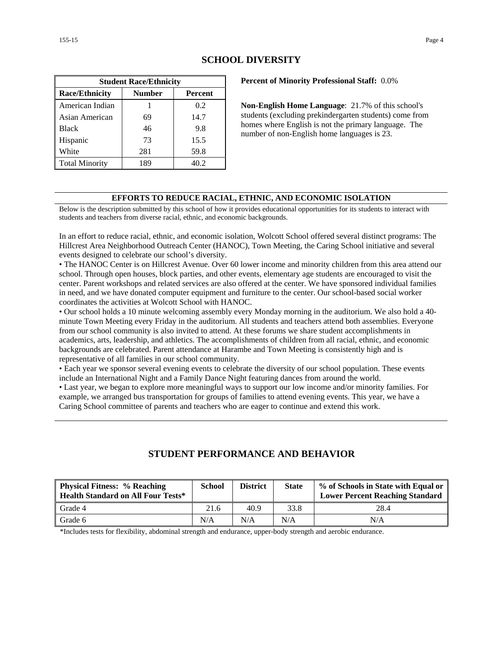| <b>Student Race/Ethnicity</b>              |     |      |  |  |  |  |
|--------------------------------------------|-----|------|--|--|--|--|
| <b>Race/Ethnicity</b><br>Number<br>Percent |     |      |  |  |  |  |
| American Indian                            |     | 0.2  |  |  |  |  |
| Asian American                             | 69  | 14.7 |  |  |  |  |
| <b>Black</b>                               | 46  | 9.8  |  |  |  |  |
| Hispanic                                   | 73  | 15.5 |  |  |  |  |
| White                                      | 281 | 59.8 |  |  |  |  |
| <b>Total Minority</b>                      | 189 | 40.2 |  |  |  |  |

# **SCHOOL DIVERSITY**

**Percent of Minority Professional Staff:** 0.0%

**Non-English Home Language**: 21.7% of this school's students (excluding prekindergarten students) come from homes where English is not the primary language. The number of non-English home languages is 23.

#### **EFFORTS TO REDUCE RACIAL, ETHNIC, AND ECONOMIC ISOLATION**

Below is the description submitted by this school of how it provides educational opportunities for its students to interact with students and teachers from diverse racial, ethnic, and economic backgrounds.

In an effort to reduce racial, ethnic, and economic isolation, Wolcott School offered several distinct programs: The Hillcrest Area Neighborhood Outreach Center (HANOC), Town Meeting, the Caring School initiative and several events designed to celebrate our school's diversity.

• The HANOC Center is on Hillcrest Avenue. Over 60 lower income and minority children from this area attend our school. Through open houses, block parties, and other events, elementary age students are encouraged to visit the center. Parent workshops and related services are also offered at the center. We have sponsored individual families in need, and we have donated computer equipment and furniture to the center. Our school-based social worker coordinates the activities at Wolcott School with HANOC.

• Our school holds a 10 minute welcoming assembly every Monday morning in the auditorium. We also hold a 40 minute Town Meeting every Friday in the auditorium. All students and teachers attend both assemblies. Everyone from our school community is also invited to attend. At these forums we share student accomplishments in academics, arts, leadership, and athletics. The accomplishments of children from all racial, ethnic, and economic backgrounds are celebrated. Parent attendance at Harambe and Town Meeting is consistently high and is representative of all families in our school community.

• Each year we sponsor several evening events to celebrate the diversity of our school population. These events include an International Night and a Family Dance Night featuring dances from around the world.

• Last year, we began to explore more meaningful ways to support our low income and/or minority families. For example, we arranged bus transportation for groups of families to attend evening events. This year, we have a Caring School committee of parents and teachers who are eager to continue and extend this work.

# **STUDENT PERFORMANCE AND BEHAVIOR**

| <b>Physical Fitness: % Reaching</b><br><b>Health Standard on All Four Tests*</b> | <b>School</b> | <b>District</b> | <b>State</b> | % of Schools in State with Equal or<br><b>Lower Percent Reaching Standard</b> |
|----------------------------------------------------------------------------------|---------------|-----------------|--------------|-------------------------------------------------------------------------------|
| Grade 4                                                                          | 21.6          | 40.9            | 33.8         | 28.4                                                                          |
| Grade 6                                                                          | N/A           | N/A             | N/A          | N/A                                                                           |

\*Includes tests for flexibility, abdominal strength and endurance, upper-body strength and aerobic endurance.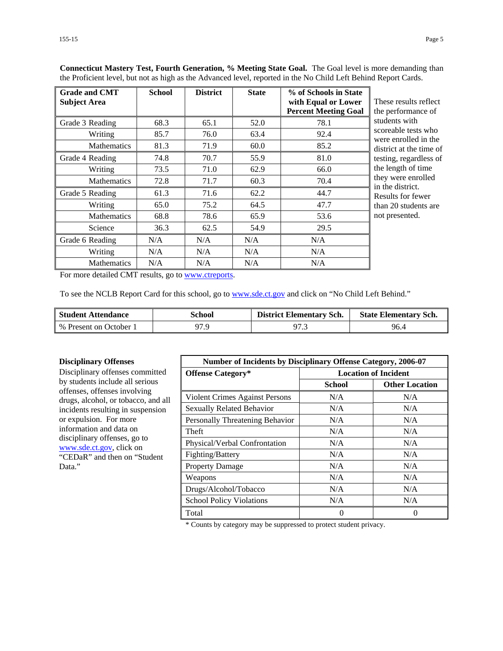| <b>Grade and CMT</b><br><b>Subject Area</b> | <b>School</b> | <b>District</b> | <b>State</b> | % of Schools in State<br>with Equal or Lower<br><b>Percent Meeting Goal</b> | These results reflect<br>the performance of |
|---------------------------------------------|---------------|-----------------|--------------|-----------------------------------------------------------------------------|---------------------------------------------|
| Grade 3 Reading                             | 68.3          | 65.1            | 52.0         | 78.1                                                                        | students with                               |
| Writing                                     | 85.7          | 76.0            | 63.4         | 92.4                                                                        | scoreable tests who<br>were enrolled in the |
| <b>Mathematics</b>                          | 81.3          | 71.9            | 60.0         | 85.2                                                                        | district at the time of                     |
| Grade 4 Reading                             | 74.8          | 70.7            | 55.9         | 81.0                                                                        | testing, regardless of                      |
| Writing                                     | 73.5          | 71.0            | 62.9         | 66.0                                                                        | the length of time                          |
| <b>Mathematics</b>                          | 72.8          | 71.7            | 60.3         | 70.4                                                                        | they were enrolled<br>in the district.      |
| Grade 5 Reading                             | 61.3          | 71.6            | 62.2         | 44.7                                                                        | Results for fewer                           |
| Writing                                     | 65.0          | 75.2            | 64.5         | 47.7                                                                        | than 20 students are                        |
| <b>Mathematics</b>                          | 68.8          | 78.6            | 65.9         | 53.6                                                                        | not presented.                              |
| Science                                     | 36.3          | 62.5            | 54.9         | 29.5                                                                        |                                             |
| Grade 6 Reading                             | N/A           | N/A             | N/A          | N/A                                                                         |                                             |
| Writing                                     | N/A           | N/A             | N/A          | N/A                                                                         |                                             |
| <b>Mathematics</b>                          | N/A           | N/A             | N/A          | N/A                                                                         |                                             |

**Connecticut Mastery Test, Fourth Generation, % Meeting State Goal.** The Goal level is more demanding than the Proficient level, but not as high as the Advanced level, reported in the No Child Left Behind Report Cards.

For more detailed CMT results, go to [www.ctreports.](http://www.ctreports/)

To see the NCLB Report Card for this school, go to [www.sde.ct.gov](http://www.sde.ct.gov/) and click on "No Child Left Behind."

| <b>Student Attendance</b> | School | <b>District Elementary Sch.</b> | <b>State Elementary Sch.</b> |
|---------------------------|--------|---------------------------------|------------------------------|
| % Present on October 1    | 97.9   | 97.3                            | 96.4                         |

#### **Disciplinary Offenses**

Disciplinary offenses committed by students include all serious offenses, offenses involving drugs, alcohol, or tobacco, and all incidents resulting in suspension or expulsion. For more information and data on disciplinary offenses, go to [www.sde.ct.gov,](http://www.sde.ct.gov/) click on "CEDaR" and then on "Student Data."

| <b>Number of Incidents by Disciplinary Offense Category, 2006-07</b> |                             |                       |
|----------------------------------------------------------------------|-----------------------------|-----------------------|
| <b>Offense Category*</b>                                             | <b>Location of Incident</b> |                       |
|                                                                      | School                      | <b>Other Location</b> |
| Violent Crimes Against Persons                                       | N/A                         | N/A                   |
| <b>Sexually Related Behavior</b>                                     | N/A                         | N/A                   |
| Personally Threatening Behavior                                      | N/A                         | N/A                   |
| Theft                                                                | N/A                         | N/A                   |
| Physical/Verbal Confrontation                                        | N/A                         | N/A                   |
| Fighting/Battery                                                     | N/A                         | N/A                   |
| <b>Property Damage</b>                                               | N/A                         | N/A                   |
| Weapons                                                              | N/A                         | N/A                   |
| Drugs/Alcohol/Tobacco                                                | N/A                         | N/A                   |
| <b>School Policy Violations</b>                                      | N/A                         | N/A                   |
| Total                                                                |                             | $\Omega$              |

\* Counts by category may be suppressed to protect student privacy.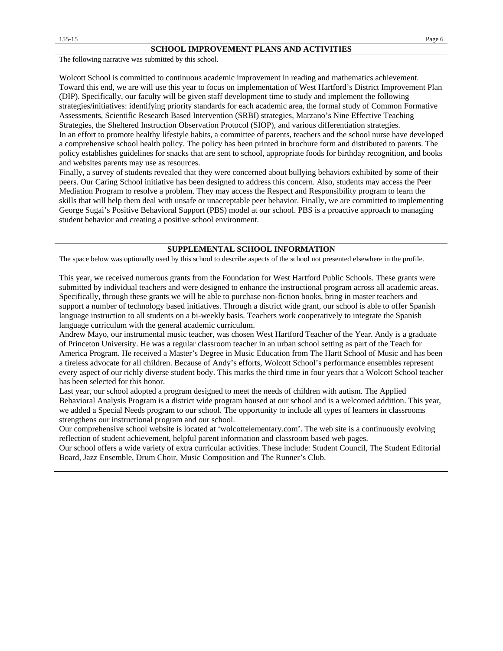The following narrative was submitted by this school.

Wolcott School is committed to continuous academic improvement in reading and mathematics achievement. Toward this end, we are will use this year to focus on implementation of West Hartford's District Improvement Plan (DIP). Specifically, our faculty will be given staff development time to study and implement the following strategies/initiatives: identifying priority standards for each academic area, the formal study of Common Formative Assessments, Scientific Research Based Intervention (SRBI) strategies, Marzano's Nine Effective Teaching Strategies, the Sheltered Instruction Observation Protocol (SIOP), and various differentiation strategies. In an effort to promote healthy lifestyle habits, a committee of parents, teachers and the school nurse have developed a comprehensive school health policy. The policy has been printed in brochure form and distributed to parents. The policy establishes guidelines for snacks that are sent to school, appropriate foods for birthday recognition, and books and websites parents may use as resources.

Finally, a survey of students revealed that they were concerned about bullying behaviors exhibited by some of their peers. Our Caring School initiative has been designed to address this concern. Also, students may access the Peer Mediation Program to resolve a problem. They may access the Respect and Responsibility program to learn the skills that will help them deal with unsafe or unacceptable peer behavior. Finally, we are committed to implementing George Sugai's Positive Behavioral Support (PBS) model at our school. PBS is a proactive approach to managing student behavior and creating a positive school environment.

#### **SUPPLEMENTAL SCHOOL INFORMATION**

The space below was optionally used by this school to describe aspects of the school not presented elsewhere in the profile.

This year, we received numerous grants from the Foundation for West Hartford Public Schools. These grants were submitted by individual teachers and were designed to enhance the instructional program across all academic areas. Specifically, through these grants we will be able to purchase non-fiction books, bring in master teachers and support a number of technology based initiatives. Through a district wide grant, our school is able to offer Spanish language instruction to all students on a bi-weekly basis. Teachers work cooperatively to integrate the Spanish language curriculum with the general academic curriculum.

Andrew Mayo, our instrumental music teacher, was chosen West Hartford Teacher of the Year. Andy is a graduate of Princeton University. He was a regular classroom teacher in an urban school setting as part of the Teach for America Program. He received a Master's Degree in Music Education from The Hartt School of Music and has been a tireless advocate for all children. Because of Andy's efforts, Wolcott School's performance ensembles represent every aspect of our richly diverse student body. This marks the third time in four years that a Wolcott School teacher has been selected for this honor.

Last year, our school adopted a program designed to meet the needs of children with autism. The Applied Behavioral Analysis Program is a district wide program housed at our school and is a welcomed addition. This year, we added a Special Needs program to our school. The opportunity to include all types of learners in classrooms strengthens our instructional program and our school.

Our comprehensive school website is located at 'wolcottelementary.com'. The web site is a continuously evolving reflection of student achievement, helpful parent information and classroom based web pages.

Our school offers a wide variety of extra curricular activities. These include: Student Council, The Student Editorial Board, Jazz Ensemble, Drum Choir, Music Composition and The Runner's Club.